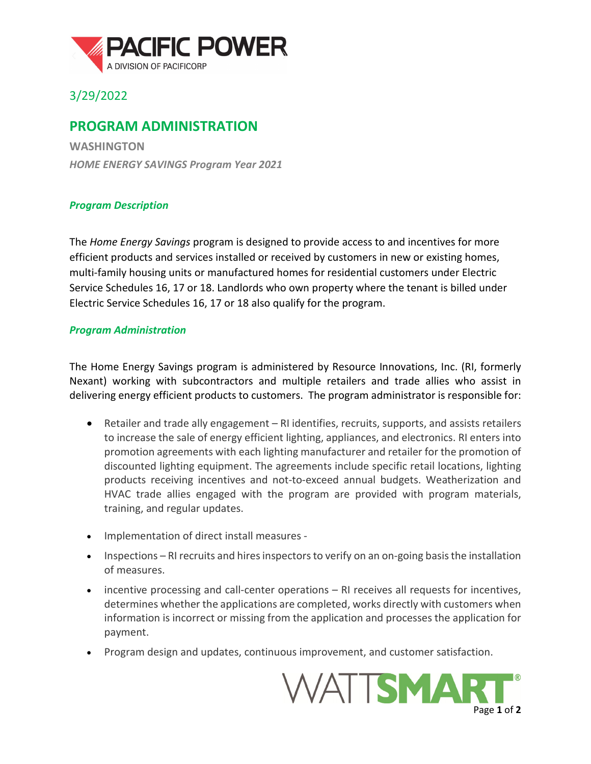

## 3/29/2022

## **PROGRAM ADMINISTRATION**

**WASHINGTON** *HOME ENERGY SAVINGS Program Year 2021*

## *Program Description*

The *Home Energy Savings* program is designed to provide access to and incentives for more efficient products and services installed or received by customers in new or existing homes, multi-family housing units or manufactured homes for residential customers under Electric Service Schedules 16, 17 or 18. Landlords who own property where the tenant is billed under Electric Service Schedules 16, 17 or 18 also qualify for the program.

## *Program Administration*

The Home Energy Savings program is administered by Resource Innovations, Inc. (RI, formerly Nexant) working with subcontractors and multiple retailers and trade allies who assist in delivering energy efficient products to customers. The program administrator is responsible for:

- Retailer and trade ally engagement RI identifies, recruits, supports, and assists retailers to increase the sale of energy efficient lighting, appliances, and electronics. RI enters into promotion agreements with each lighting manufacturer and retailer for the promotion of discounted lighting equipment. The agreements include specific retail locations, lighting products receiving incentives and not-to-exceed annual budgets. Weatherization and HVAC trade allies engaged with the program are provided with program materials, training, and regular updates.
- Implementation of direct install measures -
- Inspections RI recruits and hires inspectors to verify on an on-going basis the installation of measures.
- incentive processing and call-center operations RI receives all requests for incentives, determines whether the applications are completed, works directly with customers when information is incorrect or missing from the application and processes the application for payment.
- Program design and updates, continuous improvement, and customer satisfaction.